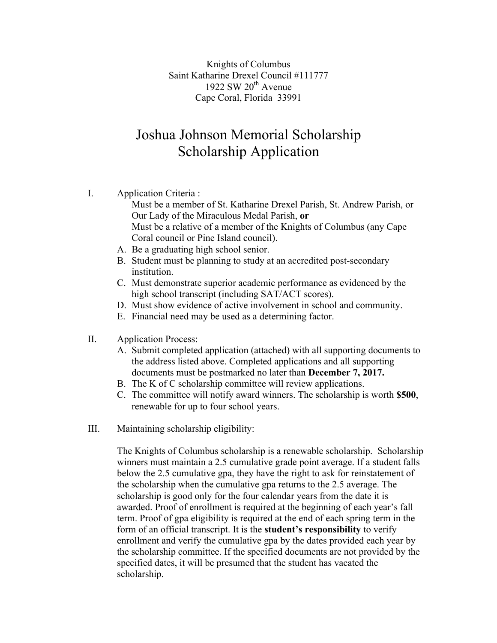Knights of Columbus Saint Katharine Drexel Council #111777 1922 SW  $20^{th}$  Avenue Cape Coral, Florida 33991

## Joshua Johnson Memorial Scholarship Scholarship Application

I. Application Criteria :

Must be a member of St. Katharine Drexel Parish, St. Andrew Parish, or Our Lady of the Miraculous Medal Parish, **or** Must be a relative of a member of the Knights of Columbus (any Cape Coral council or Pine Island council).

- A. Be a graduating high school senior.
- B. Student must be planning to study at an accredited post-secondary institution.
- C. Must demonstrate superior academic performance as evidenced by the high school transcript (including SAT/ACT scores).
- D. Must show evidence of active involvement in school and community.
- E. Financial need may be used as a determining factor.
- II. Application Process:
	- A. Submit completed application (attached) with all supporting documents to the address listed above. Completed applications and all supporting documents must be postmarked no later than **December 7, 2017.**
	- B. The K of C scholarship committee will review applications.
	- C. The committee will notify award winners. The scholarship is worth **\$500**, renewable for up to four school years.
- III. Maintaining scholarship eligibility:

The Knights of Columbus scholarship is a renewable scholarship. Scholarship winners must maintain a 2.5 cumulative grade point average. If a student falls below the 2.5 cumulative gpa, they have the right to ask for reinstatement of the scholarship when the cumulative gpa returns to the 2.5 average. The scholarship is good only for the four calendar years from the date it is awarded. Proof of enrollment is required at the beginning of each year's fall term. Proof of gpa eligibility is required at the end of each spring term in the form of an official transcript. It is the **student's responsibility** to verify enrollment and verify the cumulative gpa by the dates provided each year by the scholarship committee. If the specified documents are not provided by the specified dates, it will be presumed that the student has vacated the scholarship.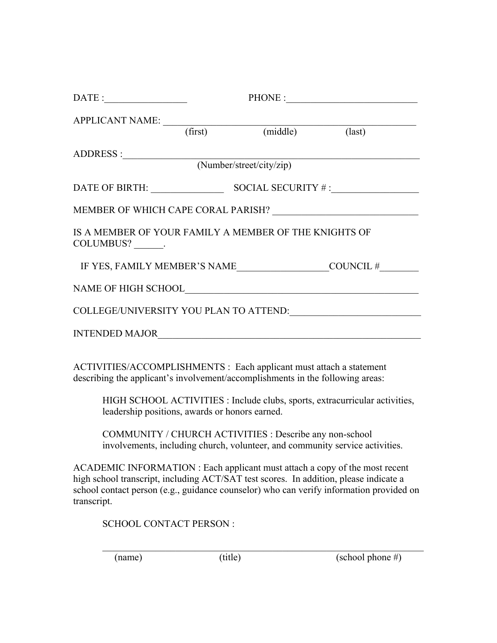|                                                                             |  | $\text{PHONE}:$ |                                        |  |
|-----------------------------------------------------------------------------|--|-----------------|----------------------------------------|--|
|                                                                             |  |                 |                                        |  |
| APPLICANT NAME: (first) (middle) (last)                                     |  |                 |                                        |  |
|                                                                             |  |                 |                                        |  |
|                                                                             |  |                 |                                        |  |
|                                                                             |  |                 | DATE OF BIRTH: SOCIAL SECURITY #:      |  |
|                                                                             |  |                 |                                        |  |
| IS A MEMBER OF YOUR FAMILY A MEMBER OF THE KNIGHTS OF<br>COLUMBUS? _______. |  |                 |                                        |  |
|                                                                             |  |                 |                                        |  |
|                                                                             |  |                 |                                        |  |
|                                                                             |  |                 | COLLEGE/UNIVERSITY YOU PLAN TO ATTEND: |  |
|                                                                             |  |                 |                                        |  |
|                                                                             |  |                 |                                        |  |

ACTIVITIES/ACCOMPLISHMENTS : Each applicant must attach a statement describing the applicant's involvement/accomplishments in the following areas:

HIGH SCHOOL ACTIVITIES : Include clubs, sports, extracurricular activities, leadership positions, awards or honors earned.

COMMUNITY / CHURCH ACTIVITIES : Describe any non-school involvements, including church, volunteer, and community service activities.

ACADEMIC INFORMATION : Each applicant must attach a copy of the most recent high school transcript, including ACT/SAT test scores. In addition, please indicate a school contact person (e.g., guidance counselor) who can verify information provided on transcript.

SCHOOL CONTACT PERSON :